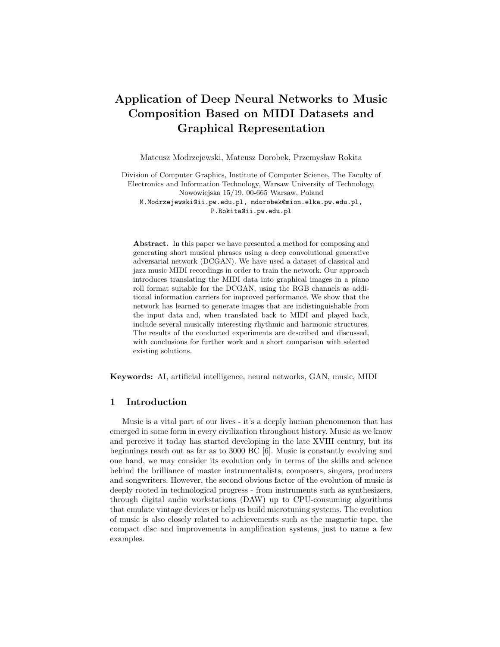# Application of Deep Neural Networks to Music Composition Based on MIDI Datasets and Graphical Representation

Mateusz Modrzejewski, Mateusz Dorobek, Przemysław Rokita

Division of Computer Graphics, Institute of Computer Science, The Faculty of Electronics and Information Technology, Warsaw University of Technology, Nowowiejska 15/19, 00-665 Warsaw, Poland M.Modrzejewski@ii.pw.edu.pl, mdorobek@mion.elka.pw.edu.pl, P.Rokita@ii.pw.edu.pl

Abstract. In this paper we have presented a method for composing and generating short musical phrases using a deep convolutional generative adversarial network (DCGAN). We have used a dataset of classical and jazz music MIDI recordings in order to train the network. Our approach introduces translating the MIDI data into graphical images in a piano roll format suitable for the DCGAN, using the RGB channels as additional information carriers for improved performance. We show that the network has learned to generate images that are indistinguishable from the input data and, when translated back to MIDI and played back, include several musically interesting rhythmic and harmonic structures. The results of the conducted experiments are described and discussed, with conclusions for further work and a short comparison with selected existing solutions.

Keywords: AI, artificial intelligence, neural networks, GAN, music, MIDI

# 1 Introduction

Music is a vital part of our lives - it's a deeply human phenomenon that has emerged in some form in every civilization throughout history. Music as we know and perceive it today has started developing in the late XVIII century, but its beginnings reach out as far as to 3000 BC [6]. Music is constantly evolving and one hand, we may consider its evolution only in terms of the skills and science behind the brilliance of master instrumentalists, composers, singers, producers and songwriters. However, the second obvious factor of the evolution of music is deeply rooted in technological progress - from instruments such as synthesizers, through digital audio workstations (DAW) up to CPU-consuming algorithms that emulate vintage devices or help us build microtuning systems. The evolution of music is also closely related to achievements such as the magnetic tape, the compact disc and improvements in amplification systems, just to name a few examples.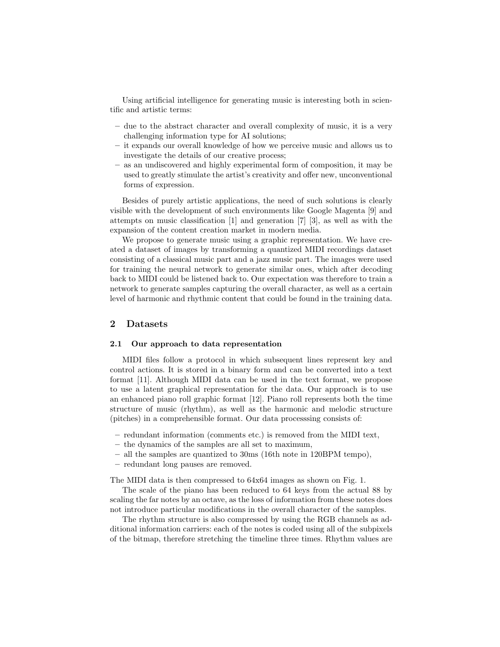Using artificial intelligence for generating music is interesting both in scientific and artistic terms:

- due to the abstract character and overall complexity of music, it is a very challenging information type for AI solutions;
- it expands our overall knowledge of how we perceive music and allows us to investigate the details of our creative process;
- as an undiscovered and highly experimental form of composition, it may be used to greatly stimulate the artist's creativity and offer new, unconventional forms of expression.

Besides of purely artistic applications, the need of such solutions is clearly visible with the development of such environments like Google Magenta [9] and attempts on music classification [1] and generation [7] [3], as well as with the expansion of the content creation market in modern media.

We propose to generate music using a graphic representation. We have created a dataset of images by transforming a quantized MIDI recordings dataset consisting of a classical music part and a jazz music part. The images were used for training the neural network to generate similar ones, which after decoding back to MIDI could be listened back to. Our expectation was therefore to train a network to generate samples capturing the overall character, as well as a certain level of harmonic and rhythmic content that could be found in the training data.

# 2 Datasets

#### 2.1 Our approach to data representation

MIDI files follow a protocol in which subsequent lines represent key and control actions. It is stored in a binary form and can be converted into a text format [11]. Although MIDI data can be used in the text format, we propose to use a latent graphical representation for the data. Our approach is to use an enhanced piano roll graphic format [12]. Piano roll represents both the time structure of music (rhythm), as well as the harmonic and melodic structure (pitches) in a comprehensible format. Our data processsing consists of:

- redundant information (comments etc.) is removed from the MIDI text,
- the dynamics of the samples are all set to maximum,
- all the samples are quantized to 30ms (16th note in 120BPM tempo),
- redundant long pauses are removed.

The MIDI data is then compressed to 64x64 images as shown on Fig. 1.

The scale of the piano has been reduced to 64 keys from the actual 88 by scaling the far notes by an octave, as the loss of information from these notes does not introduce particular modifications in the overall character of the samples.

The rhythm structure is also compressed by using the RGB channels as additional information carriers: each of the notes is coded using all of the subpixels of the bitmap, therefore stretching the timeline three times. Rhythm values are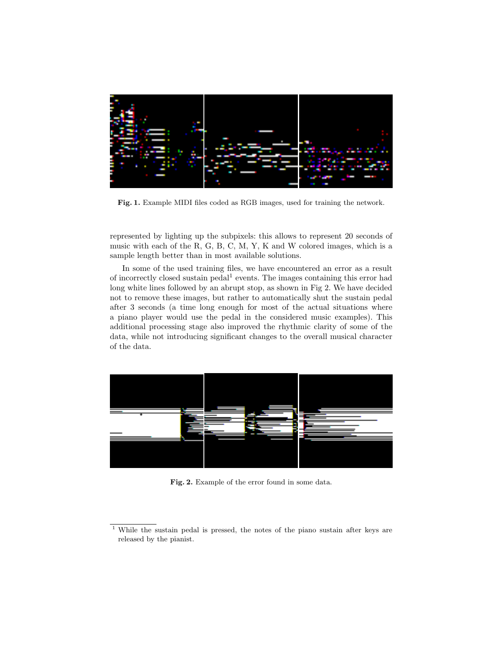

Fig. 1. Example MIDI files coded as RGB images, used for training the network.

represented by lighting up the subpixels: this allows to represent 20 seconds of music with each of the R, G, B, C, M, Y, K and W colored images, which is a sample length better than in most available solutions.

In some of the used training files, we have encountered an error as a result of incorrectly closed sustain pedal<sup>1</sup> events. The images containing this error had long white lines followed by an abrupt stop, as shown in Fig 2. We have decided not to remove these images, but rather to automatically shut the sustain pedal after 3 seconds (a time long enough for most of the actual situations where a piano player would use the pedal in the considered music examples). This additional processing stage also improved the rhythmic clarity of some of the data, while not introducing significant changes to the overall musical character of the data.



Fig. 2. Example of the error found in some data.

<sup>1</sup> While the sustain pedal is pressed, the notes of the piano sustain after keys are released by the pianist.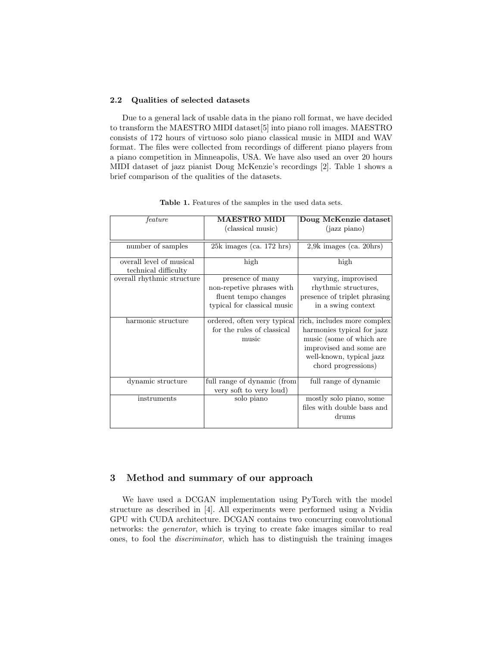### 2.2 Qualities of selected datasets

Due to a general lack of usable data in the piano roll format, we have decided to transform the MAESTRO MIDI dataset[5] into piano roll images. MAESTRO consists of 172 hours of virtuoso solo piano classical music in MIDI and WAV format. The files were collected from recordings of different piano players from a piano competition in Minneapolis, USA. We have also used an over 20 hours MIDI dataset of jazz pianist Doug McKenzie's recordings [2]. Table 1 shows a brief comparison of the qualities of the datasets.

| feature                                          | <b>MAESTRO MIDI</b>                                                              | Doug McKenzie dataset                                                                                                                                               |
|--------------------------------------------------|----------------------------------------------------------------------------------|---------------------------------------------------------------------------------------------------------------------------------------------------------------------|
|                                                  | (classical music)                                                                | (jazz piano)                                                                                                                                                        |
|                                                  |                                                                                  |                                                                                                                                                                     |
| number of samples                                | $25k$ images (ca. 172 hrs)                                                       | $2,9k$ images (ca. $20hrs$ )                                                                                                                                        |
| overall level of musical<br>technical difficulty | high                                                                             | high                                                                                                                                                                |
| overall rhythmic structure                       | presence of many                                                                 | varying, improvised                                                                                                                                                 |
|                                                  | non-repetive phrases with<br>fluent tempo changes<br>typical for classical music | rhythmic structures,<br>presence of triplet phrasing<br>in a swing context                                                                                          |
| harmonic structure                               | ordered, often very typical<br>for the rules of classical<br>music               | rich, includes more complex<br>harmonies typical for jazz<br>music (some of which are<br>improvised and some are<br>well-known, typical jazz<br>chord progressions) |
| dynamic structure                                | full range of dynamic (from<br>very soft to very loud)                           | full range of dynamic                                                                                                                                               |
| instruments                                      | solo piano                                                                       | mostly solo piano, some<br>files with double bass and<br>drums                                                                                                      |

Table 1. Features of the samples in the used data sets.

# 3 Method and summary of our approach

We have used a DCGAN implementation using PyTorch with the model structure as described in [4]. All experiments were performed using a Nvidia GPU with CUDA architecture. DCGAN contains two concurring convolutional networks: the generator, which is trying to create fake images similar to real ones, to fool the discriminator, which has to distinguish the training images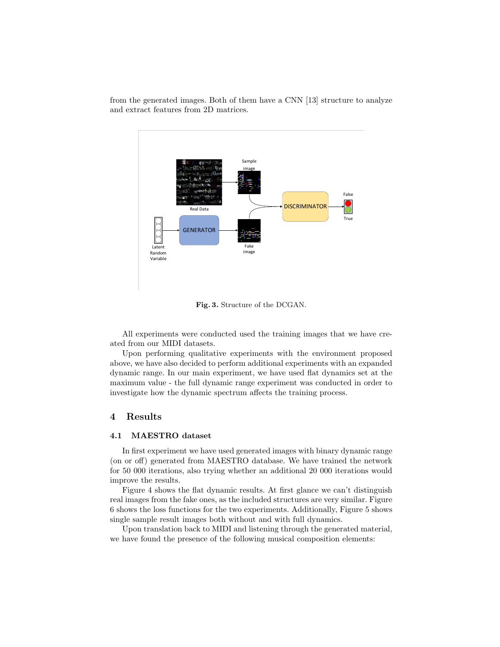from the generated images. Both of them have a CNN [13] structure to analyze and extract features from 2D matrices.



Fig. 3. Structure of the DCGAN.

All experiments were conducted used the training images that we have created from our MIDI datasets.

Upon performing qualitative experiments with the environment proposed above, we have also decided to perform additional experiments with an expanded dynamic range. In our main experiment, we have used flat dynamics set at the maximum value - the full dynamic range experiment was conducted in order to investigate how the dynamic spectrum affects the training process.

# 4 Results

### 4.1 MAESTRO dataset

In first experiment we have used generated images with binary dynamic range (on or off) generated from MAESTRO database. We have trained the network for 50 000 iterations, also trying whether an additional 20 000 iterations would improve the results.

Figure 4 shows the flat dynamic results. At first glance we can't distinguish real images from the fake ones, as the included structures are very similar. Figure 6 shows the loss functions for the two experiments. Additionally, Figure 5 shows single sample result images both without and with full dynamics.

Upon translation back to MIDI and listening through the generated material, we have found the presence of the following musical composition elements: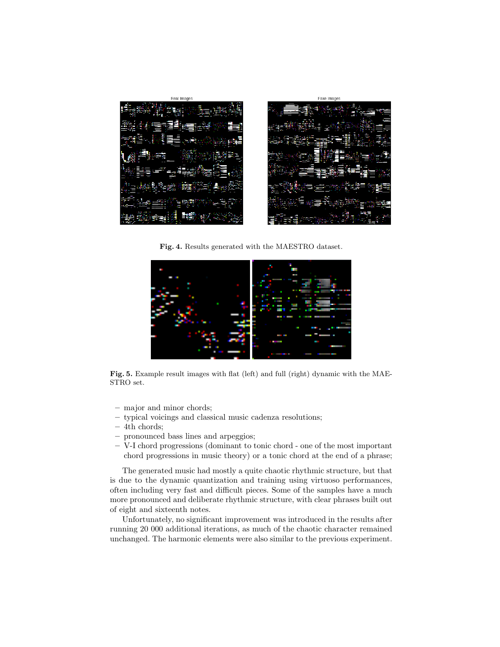

Fig. 4. Results generated with the MAESTRO dataset.



Fig. 5. Example result images with flat (left) and full (right) dynamic with the MAE-STRO set.

- major and minor chords;
- typical voicings and classical music cadenza resolutions;
- 4th chords;
- pronounced bass lines and arpeggios;
- V-I chord progressions (dominant to tonic chord one of the most important chord progressions in music theory) or a tonic chord at the end of a phrase;

The generated music had mostly a quite chaotic rhythmic structure, but that is due to the dynamic quantization and training using virtuoso performances, often including very fast and difficult pieces. Some of the samples have a much more pronounced and deliberate rhythmic structure, with clear phrases built out of eight and sixteenth notes.

Unfortunately, no significant improvement was introduced in the results after running 20 000 additional iterations, as much of the chaotic character remained unchanged. The harmonic elements were also similar to the previous experiment.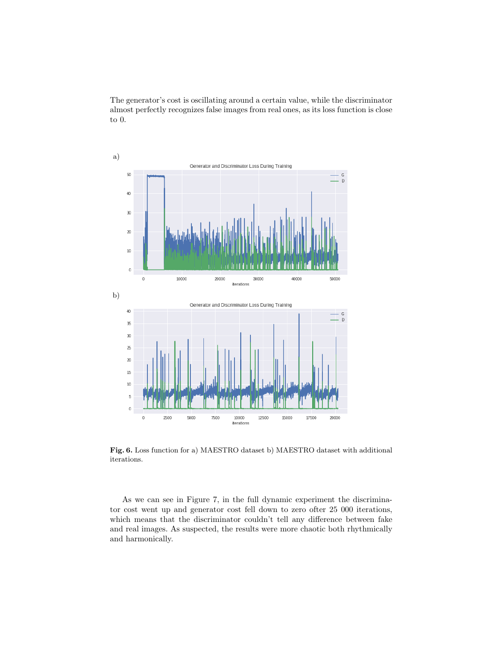The generator's cost is oscillating around a certain value, while the discriminator almost perfectly recognizes false images from real ones, as its loss function is close to 0.



Fig. 6. Loss function for a) MAESTRO dataset b) MAESTRO dataset with additional iterations.

As we can see in Figure 7, in the full dynamic experiment the discriminator cost went up and generator cost fell down to zero ofter 25 000 iterations, which means that the discriminator couldn't tell any difference between fake and real images. As suspected, the results were more chaotic both rhythmically and harmonically.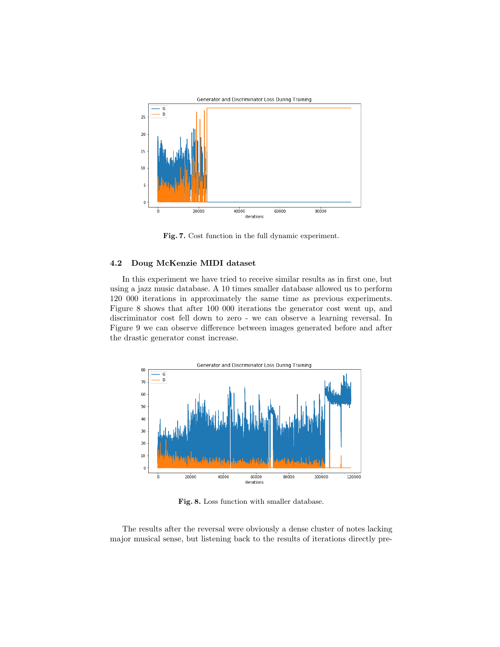

Fig. 7. Cost function in the full dynamic experiment.

### 4.2 Doug McKenzie MIDI dataset

In this experiment we have tried to receive similar results as in first one, but using a jazz music database. A 10 times smaller database allowed us to perform 120 000 iterations in approximately the same time as previous experiments. Figure 8 shows that after 100 000 iterations the generator cost went up, and discriminator cost fell down to zero - we can observe a learning reversal. In Figure 9 we can observe difference between images generated before and after the drastic generator const increase.



Fig. 8. Loss function with smaller database.

The results after the reversal were obviously a dense cluster of notes lacking major musical sense, but listening back to the results of iterations directly pre-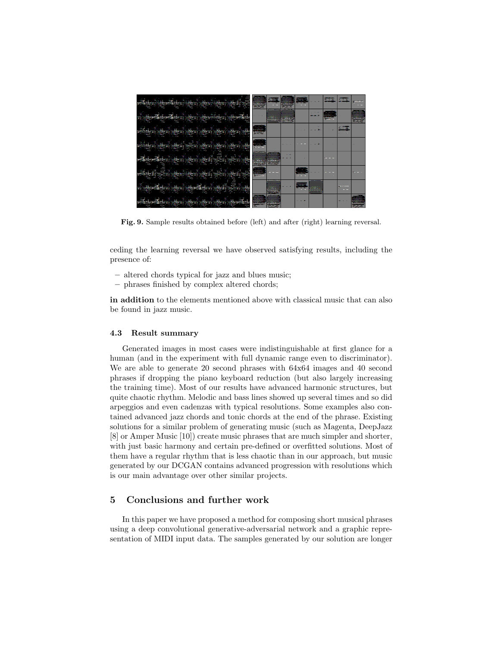

Fig. 9. Sample results obtained before (left) and after (right) learning reversal.

ceding the learning reversal we have observed satisfying results, including the presence of:

- altered chords typical for jazz and blues music;
- phrases finished by complex altered chords;

in addition to the elements mentioned above with classical music that can also be found in jazz music.

### 4.3 Result summary

Generated images in most cases were indistinguishable at first glance for a human (and in the experiment with full dynamic range even to discriminator). We are able to generate 20 second phrases with 64x64 images and 40 second phrases if dropping the piano keyboard reduction (but also largely increasing the training time). Most of our results have advanced harmonic structures, but quite chaotic rhythm. Melodic and bass lines showed up several times and so did arpeggios and even cadenzas with typical resolutions. Some examples also contained advanced jazz chords and tonic chords at the end of the phrase. Existing solutions for a similar problem of generating music (such as Magenta, DeepJazz [8] or Amper Music [10]) create music phrases that are much simpler and shorter, with just basic harmony and certain pre-defined or overfitted solutions. Most of them have a regular rhythm that is less chaotic than in our approach, but music generated by our DCGAN contains advanced progression with resolutions which is our main advantage over other similar projects.

# 5 Conclusions and further work

In this paper we have proposed a method for composing short musical phrases using a deep convolutional generative-adversarial network and a graphic representation of MIDI input data. The samples generated by our solution are longer